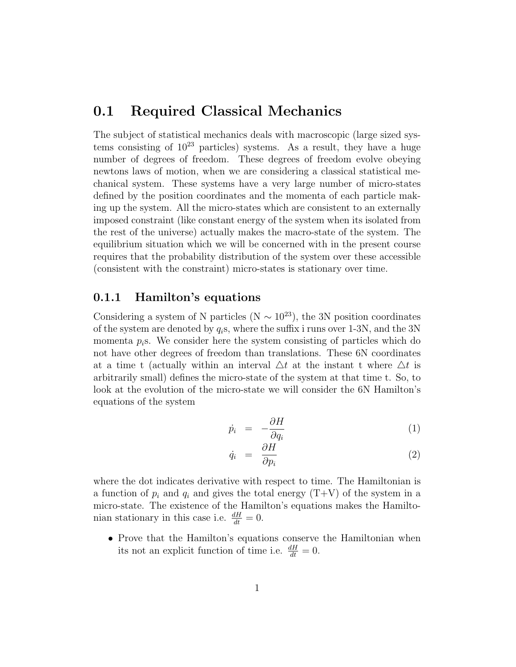# 0.1 Required Classical Mechanics

The subject of statistical mechanics deals with macroscopic (large sized systems consisting of  $10^{23}$  particles) systems. As a result, they have a huge number of degrees of freedom. These degrees of freedom evolve obeying newtons laws of motion, when we are considering a classical statistical mechanical system. These systems have a very large number of micro-states defined by the position coordinates and the momenta of each particle making up the system. All the micro-states which are consistent to an externally imposed constraint (like constant energy of the system when its isolated from the rest of the universe) actually makes the macro-state of the system. The equilibrium situation which we will be concerned with in the present course requires that the probability distribution of the system over these accessible (consistent with the constraint) micro-states is stationary over time.

### 0.1.1 Hamilton's equations

Considering a system of N particles (N  $\sim 10^{23}$ ), the 3N position coordinates of the system are denoted by  $q_i$ s, where the suffix i runs over 1-3N, and the 3N momenta  $p_i$ s. We consider here the system consisting of particles which do not have other degrees of freedom than translations. These 6N coordinates at a time t (actually within an interval  $\Delta t$  at the instant t where  $\Delta t$  is arbitrarily small) defines the micro-state of the system at that time t. So, to look at the evolution of the micro-state we will consider the 6N Hamilton's equations of the system

$$
\dot{p}_i = -\frac{\partial H}{\partial q_i} \tag{1}
$$

$$
\dot{q}_i = \frac{\partial H}{\partial p_i} \tag{2}
$$

where the dot indicates derivative with respect to time. The Hamiltonian is a function of  $p_i$  and  $q_i$  and gives the total energy  $(T+V)$  of the system in a micro-state. The existence of the Hamilton's equations makes the Hamiltonian stationary in this case i.e.  $\frac{dH}{dt} = 0$ .

• Prove that the Hamilton's equations conserve the Hamiltonian when its not an explicit function of time i.e.  $\frac{dH}{dt} = 0$ .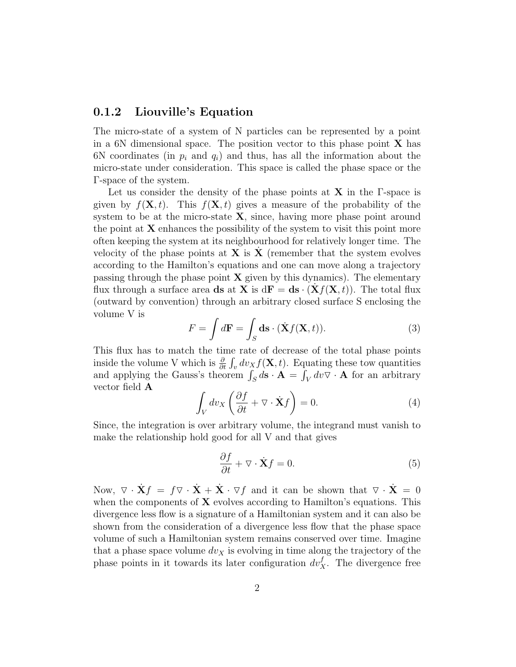#### 0.1.2 Liouville's Equation

The micro-state of a system of N particles can be represented by a point in a 6N dimensional space. The position vector to this phase point  $X$  has 6N coordinates (in  $p_i$  and  $q_i$ ) and thus, has all the information about the micro-state under consideration. This space is called the phase space or the Γ-space of the system.

Let us consider the density of the phase points at  $X$  in the  $\Gamma$ -space is given by  $f(\mathbf{X}, t)$ . This  $f(\mathbf{X}, t)$  gives a measure of the probability of the system to be at the micro-state  $X$ , since, having more phase point around the point at  $X$  enhances the possibility of the system to visit this point more often keeping the system at its neighbourhood for relatively longer time. The velocity of the phase points at  $X$  is  $X'$  (remember that the system evolves according to the Hamilton's equations and one can move along a trajectory passing through the phase point  $X$  given by this dynamics). The elementary flux through a surface area ds at **X** is  $d\mathbf{F} = d\mathbf{s} \cdot (\mathbf{X} f(\mathbf{X}, t))$ . The total flux (outward by convention) through an arbitrary closed surface S enclosing the volume V is

$$
F = \int d\mathbf{F} = \int_{S} d\mathbf{s} \cdot (\dot{\mathbf{X}} f(\mathbf{X}, t)).
$$
 (3)

This flux has to match the time rate of decrease of the total phase points inside the volume V which is  $\frac{\partial}{\partial t} \int_v dv_X f(\mathbf{X}, t)$ . Equating these tow quantities and applying the Gauss's theorem  $\int_S d\mathbf{s} \cdot \mathbf{A} = \int_V dv \nabla \cdot \mathbf{A}$  for an arbitrary vector field A

$$
\int_{V} dv_X \left( \frac{\partial f}{\partial t} + \nabla \cdot \dot{\mathbf{X}} f \right) = 0.
$$
\n(4)

Since, the integration is over arbitrary volume, the integrand must vanish to make the relationship hold good for all V and that gives

$$
\frac{\partial f}{\partial t} + \nabla \cdot \dot{\mathbf{X}} f = 0. \tag{5}
$$

Now,  $\nabla \cdot \dot{\mathbf{X}}f = f \nabla \cdot \dot{\mathbf{X}} + \dot{\mathbf{X}} \cdot \nabla f$  and it can be shown that  $\nabla \cdot \dot{\mathbf{X}} = 0$ when the components of  $X$  evolves according to Hamilton's equations. This divergence less flow is a signature of a Hamiltonian system and it can also be shown from the consideration of a divergence less flow that the phase space volume of such a Hamiltonian system remains conserved over time. Imagine that a phase space volume  $dv_X$  is evolving in time along the trajectory of the phase points in it towards its later configuration  $dv_{X}^{f}$ . The divergence free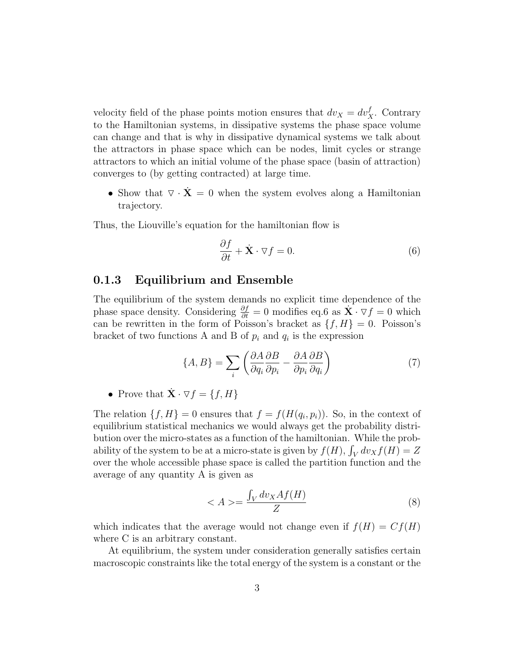velocity field of the phase points motion ensures that  $dv_X = dv_X^f$ . Contrary to the Hamiltonian systems, in dissipative systems the phase space volume can change and that is why in dissipative dynamical systems we talk about the attractors in phase space which can be nodes, limit cycles or strange attractors to which an initial volume of the phase space (basin of attraction) converges to (by getting contracted) at large time.

• Show that  $\nabla \cdot \mathbf{X} = 0$  when the system evolves along a Hamiltonian trajectory.

Thus, the Liouville's equation for the hamiltonian flow is

$$
\frac{\partial f}{\partial t} + \dot{\mathbf{X}} \cdot \nabla f = 0.
$$
 (6)

#### 0.1.3 Equilibrium and Ensemble

The equilibrium of the system demands no explicit time dependence of the phase space density. Considering  $\frac{\partial f}{\partial t} = 0$  modifies eq.6 as  $\dot{\mathbf{X}} \cdot \nabla f = 0$  which can be rewritten in the form of Poisson's bracket as  $\{f, H\} = 0$ . Poisson's bracket of two functions A and B of  $p_i$  and  $q_i$  is the expression

$$
\{A, B\} = \sum_{i} \left( \frac{\partial A}{\partial q_i} \frac{\partial B}{\partial p_i} - \frac{\partial A}{\partial p_i} \frac{\partial B}{\partial q_i} \right) \tag{7}
$$

• Prove that  $\dot{\mathbf{X}} \cdot \nabla f = \{f, H\}$ 

The relation  $\{f, H\} = 0$  ensures that  $f = f(H(q_i, p_i))$ . So, in the context of equilibrium statistical mechanics we would always get the probability distribution over the micro-states as a function of the hamiltonian. While the probability of the system to be at a micro-state is given by  $f(H)$ ,  $\int_V dv_X f(H) = Z$ over the whole accessible phase space is called the partition function and the average of any quantity A is given as

$$
\langle A \rangle = \frac{\int_{V} dv_X A f(H)}{Z} \tag{8}
$$

which indicates that the average would not change even if  $f(H) = Cf(H)$ where C is an arbitrary constant.

At equilibrium, the system under consideration generally satisfies certain macroscopic constraints like the total energy of the system is a constant or the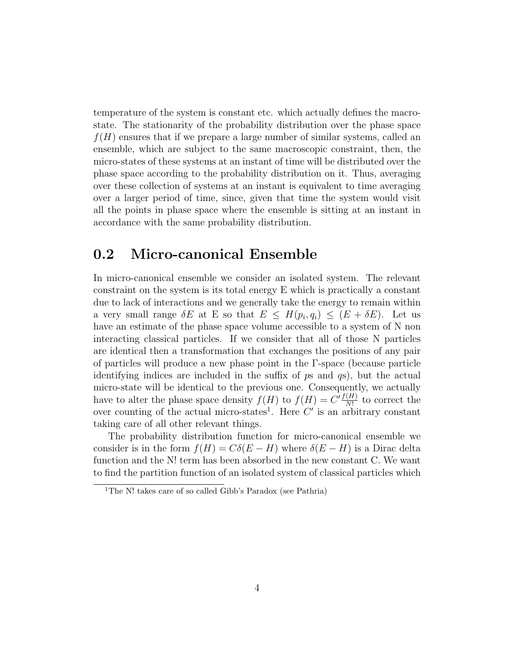temperature of the system is constant etc. which actually defines the macrostate. The stationarity of the probability distribution over the phase space  $f(H)$  ensures that if we prepare a large number of similar systems, called an ensemble, which are subject to the same macroscopic constraint, then, the micro-states of these systems at an instant of time will be distributed over the phase space according to the probability distribution on it. Thus, averaging over these collection of systems at an instant is equivalent to time averaging over a larger period of time, since, given that time the system would visit all the points in phase space where the ensemble is sitting at an instant in accordance with the same probability distribution.

# 0.2 Micro-canonical Ensemble

In micro-canonical ensemble we consider an isolated system. The relevant constraint on the system is its total energy E which is practically a constant due to lack of interactions and we generally take the energy to remain within a very small range  $\delta E$  at E so that  $E \leq H(p_i, q_i) \leq (E + \delta E)$ . Let us have an estimate of the phase space volume accessible to a system of N non interacting classical particles. If we consider that all of those N particles are identical then a transformation that exchanges the positions of any pair of particles will produce a new phase point in the Γ-space (because particle identifying indices are included in the suffix of  $p_s$  and  $q_s$ ), but the actual micro-state will be identical to the previous one. Consequently, we actually have to alter the phase space density  $f(H)$  to  $f(H) = C' \frac{f(H)}{N!}$  $\frac{(H)}{N!}$  to correct the over counting of the actual micro-states<sup>1</sup>. Here  $C'$  is an arbitrary constant taking care of all other relevant things.

The probability distribution function for micro-canonical ensemble we consider is in the form  $f(H) = C\delta(E - H)$  where  $\delta(E - H)$  is a Dirac delta function and the N! term has been absorbed in the new constant C. We want to find the partition function of an isolated system of classical particles which

<sup>&</sup>lt;sup>1</sup>The N! takes care of so called Gibb's Paradox (see Pathria)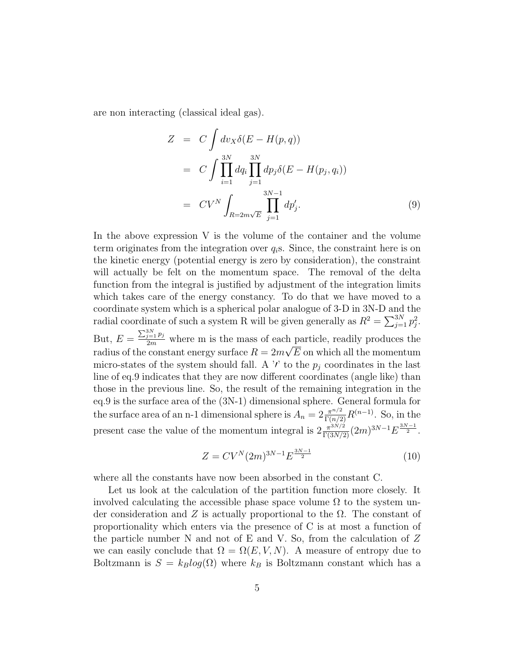are non interacting (classical ideal gas).

$$
Z = C \int dv_X \delta(E - H(p, q))
$$
  
\n
$$
= C \int \prod_{i=1}^{3N} dq_i \prod_{j=1}^{3N} dp_j \delta(E - H(p_j, q_i))
$$
  
\n
$$
= CV^N \int_{R=2m\sqrt{E}} \prod_{j=1}^{3N-1} dp'_j.
$$
\n(9)

In the above expression V is the volume of the container and the volume term originates from the integration over  $q_i$ s. Since, the constraint here is on the kinetic energy (potential energy is zero by consideration), the constraint will actually be felt on the momentum space. The removal of the delta function from the integral is justified by adjustment of the integration limits which takes care of the energy constancy. To do that we have moved to a coordinate system which is a spherical polar analogue of 3-D in 3N-D and the radial coordinate of such a system R will be given generally as  $R^2 = \sum_{j=1}^{3N} p_j^2$ . But,  $E = \frac{\sum_{j=1}^{3N} p_j}{2m}$  where m is the mass of each particle, readily produces the radius of the constant energy surface  $R = 2m\sqrt{E}$  on which all the momentum micro-states of the system should fall. A '*i*' to the  $p_j$  coordinates in the last line of eq.9 indicates that they are now different coordinates (angle like) than those in the previous line. So, the result of the remaining integration in the eq.9 is the surface area of the (3N-1) dimensional sphere. General formula for the surface area of an n-1 dimensional sphere is  $A_n = 2 \frac{\pi^{n/2}}{\Gamma(n/2)} R^{(n-1)}$ . So, in the present case the value of the momentum integral is  $2\frac{\pi^{3N/2}}{\Gamma(3N/2)}(2m)^{3N-1}E^{\frac{3N-1}{2}}$ .

$$
Z = CV^N (2m)^{3N-1} E^{\frac{3N-1}{2}}
$$
\n(10)

where all the constants have now been absorbed in the constant C.

Let us look at the calculation of the partition function more closely. It involved calculating the accessible phase space volume  $\Omega$  to the system under consideration and Z is actually proportional to the  $\Omega$ . The constant of proportionality which enters via the presence of C is at most a function of the particle number N and not of E and V. So, from the calculation of  $Z$ we can easily conclude that  $\Omega = \Omega(E, V, N)$ . A measure of entropy due to Boltzmann is  $S = k_B log(\Omega)$  where  $k_B$  is Boltzmann constant which has a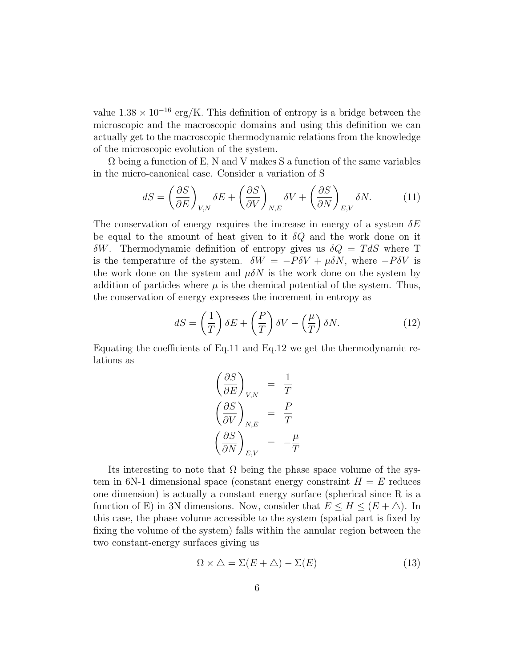value  $1.38 \times 10^{-16}$  erg/K. This definition of entropy is a bridge between the microscopic and the macroscopic domains and using this definition we can actually get to the macroscopic thermodynamic relations from the knowledge of the microscopic evolution of the system.

 $\Omega$  being a function of E, N and V makes S a function of the same variables in the micro-canonical case. Consider a variation of S

$$
dS = \left(\frac{\partial S}{\partial E}\right)_{V,N} \delta E + \left(\frac{\partial S}{\partial V}\right)_{N,E} \delta V + \left(\frac{\partial S}{\partial N}\right)_{E,V} \delta N. \tag{11}
$$

The conservation of energy requires the increase in energy of a system  $\delta E$ be equal to the amount of heat given to it  $\delta Q$  and the work done on it  $\delta W$ . Thermodynamic definition of entropy gives us  $\delta Q = T dS$  where T is the temperature of the system.  $\delta W = -P\delta V + \mu \delta N$ , where  $-P\delta V$  is the work done on the system and  $\mu \delta N$  is the work done on the system by addition of particles where  $\mu$  is the chemical potential of the system. Thus, the conservation of energy expresses the increment in entropy as

$$
dS = \left(\frac{1}{T}\right)\delta E + \left(\frac{P}{T}\right)\delta V - \left(\frac{\mu}{T}\right)\delta N.
$$
 (12)

Equating the coefficients of Eq.11 and Eq.12 we get the thermodynamic relations as

$$
\left(\frac{\partial S}{\partial E}\right)_{V,N} = \frac{1}{T}
$$

$$
\left(\frac{\partial S}{\partial V}\right)_{N,E} = \frac{P}{T}
$$

$$
\left(\frac{\partial S}{\partial N}\right)_{E,V} = -\frac{\mu}{T}
$$

Its interesting to note that  $\Omega$  being the phase space volume of the system in 6N-1 dimensional space (constant energy constraint  $H = E$  reduces one dimension) is actually a constant energy surface (spherical since R is a function of E) in 3N dimensions. Now, consider that  $E \leq H \leq (E + \triangle)$ . In this case, the phase volume accessible to the system (spatial part is fixed by fixing the volume of the system) falls within the annular region between the two constant-energy surfaces giving us

$$
\Omega \times \Delta = \Sigma (E + \Delta) - \Sigma (E) \tag{13}
$$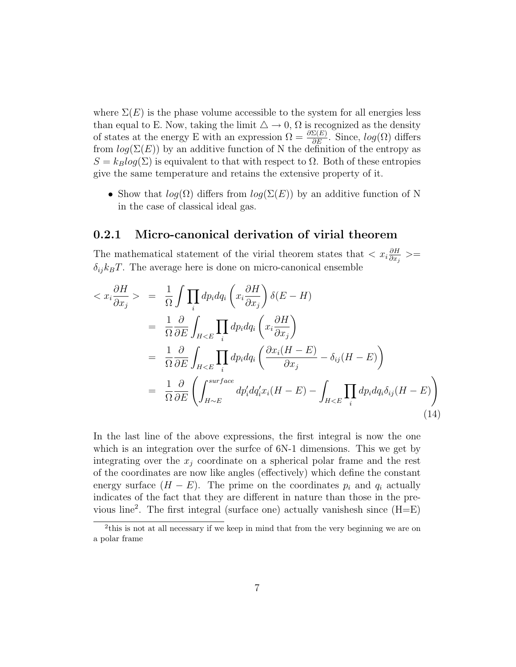where  $\Sigma(E)$  is the phase volume accessible to the system for all energies less than equal to E. Now, taking the limit  $\Delta \to 0$ ,  $\Omega$  is recognized as the density of states at the energy E with an expression  $\Omega = \frac{\partial \Sigma(E)}{\partial E}$ . Since,  $log(\Omega)$  differs from  $log(\Sigma(E))$  by an additive function of N the definition of the entropy as  $S = k_B log(\Sigma)$  is equivalent to that with respect to  $\Omega$ . Both of these entropies give the same temperature and retains the extensive property of it.

• Show that  $log(\Omega)$  differs from  $log(\Sigma(E))$  by an additive function of N in the case of classical ideal gas.

### 0.2.1 Micro-canonical derivation of virial theorem

The mathematical statement of the virial theorem states that  $\langle x_i \frac{\partial H}{\partial x_i} \rangle$  $\frac{\partial H}{\partial x_j} >=$  $\delta_{ij} k_B T$ . The average here is done on micro-canonical ensemble

$$
\langle x_i \frac{\partial H}{\partial x_j} \rangle = \frac{1}{\Omega} \int \prod_i dp_i dq_i \left( x_i \frac{\partial H}{\partial x_j} \right) \delta(E - H)
$$
  
\n
$$
= \frac{1}{\Omega} \frac{\partial}{\partial E} \int_{H < E} \prod_i dp_i dq_i \left( x_i \frac{\partial H}{\partial x_j} \right)
$$
  
\n
$$
= \frac{1}{\Omega} \frac{\partial}{\partial E} \int_{H < E} \prod_i dp_i dq_i \left( \frac{\partial x_i (H - E)}{\partial x_j} - \delta_{ij} (H - E) \right)
$$
  
\n
$$
= \frac{1}{\Omega} \frac{\partial}{\partial E} \left( \int_{H \sim E}^{surface} dp'_i dq'_i x_i (H - E) - \int_{H < E} \prod_i dp_i dq_i \delta_{ij} (H - E) \right)
$$
\n(14)

In the last line of the above expressions, the first integral is now the one which is an integration over the surfce of  $6N-1$  dimensions. This we get by integrating over the  $x_j$  coordinate on a spherical polar frame and the rest of the coordinates are now like angles (effectively) which define the constant energy surface  $(H - E)$ . The prime on the coordinates  $p_i$  and  $q_i$  actually indicates of the fact that they are different in nature than those in the previous line<sup>2</sup> . The first integral (surface one) actually vanishesh since (H=E)

<sup>&</sup>lt;sup>2</sup>this is not at all necessary if we keep in mind that from the very beginning we are on a polar frame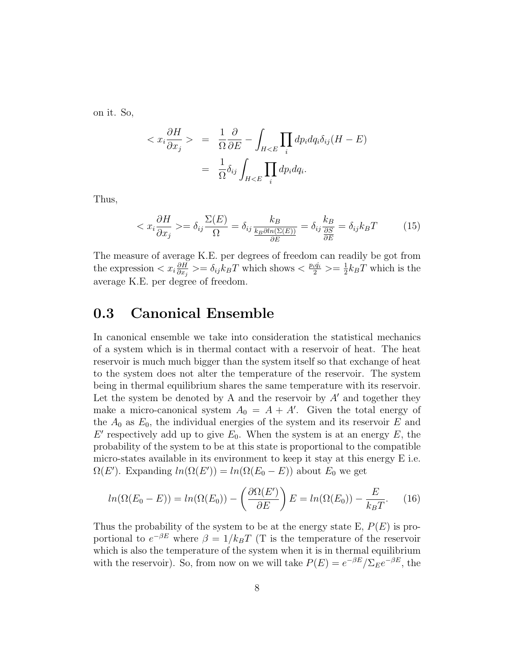on it. So,

$$
\langle x_i \frac{\partial H}{\partial x_j} \rangle = \frac{1}{\Omega} \frac{\partial}{\partial E} - \int_{H < E} \prod_i dp_i dq_i \delta_{ij} (H - E)
$$
\n
$$
= \frac{1}{\Omega} \delta_{ij} \int_{H < E} \prod_i dp_i dq_i.
$$

Thus,

$$
\langle x_i \frac{\partial H}{\partial x_j} \rangle = \delta_{ij} \frac{\Sigma(E)}{\Omega} = \delta_{ij} \frac{k_B}{\frac{k_B \partial \ln(\Sigma(E))}{\partial E}} = \delta_{ij} \frac{k_B}{\frac{\partial S}{\partial E}} = \delta_{ij} k_B T \tag{15}
$$

The measure of average K.E. per degrees of freedom can readily be got from the expression  $\langle x_i \frac{\partial H}{\partial x_i} \rangle$  $\frac{\partial H}{\partial x_j}$  >=  $\delta_{ij} k_B T$  which shows <  $\frac{pi}{2}$  >=  $\frac{1}{2}$  $\frac{1}{2}k_BT$  which is the average K.E. per degree of freedom.

## 0.3 Canonical Ensemble

In canonical ensemble we take into consideration the statistical mechanics of a system which is in thermal contact with a reservoir of heat. The heat reservoir is much much bigger than the system itself so that exchange of heat to the system does not alter the temperature of the reservoir. The system being in thermal equilibrium shares the same temperature with its reservoir. Let the system be denoted by A and the reservoir by  $A'$  and together they make a micro-canonical system  $A_0 = A + A'$ . Given the total energy of the  $A_0$  as  $E_0$ , the individual energies of the system and its reservoir E and  $E'$  respectively add up to give  $E_0$ . When the system is at an energy  $E$ , the probability of the system to be at this state is proportional to the compatible micro-states available in its environment to keep it stay at this energy E i.e.  $\Omega(E')$ . Expanding  $ln(\Omega(E')) = ln(\Omega(E_0 - E))$  about  $E_0$  we get

$$
ln(\Omega(E_0 - E)) = ln(\Omega(E_0)) - \left(\frac{\partial \Omega(E')}{\partial E}\right)E = ln(\Omega(E_0)) - \frac{E}{k_B T}.
$$
 (16)

Thus the probability of the system to be at the energy state E,  $P(E)$  is proportional to  $e^{-\beta E}$  where  $\beta = 1/k_B T$  (T is the temperature of the reservoir which is also the temperature of the system when it is in thermal equilibrium with the reservoir). So, from now on we will take  $P(E) = e^{-\beta E}/\Sigma_E e^{-\beta E}$ , the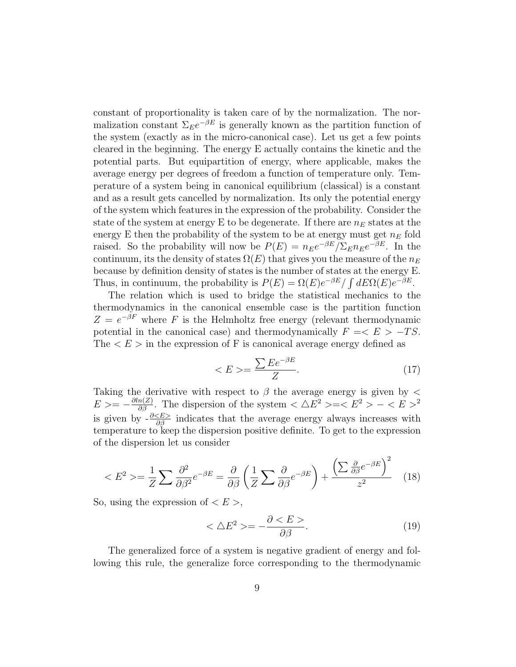constant of proportionality is taken care of by the normalization. The normalization constant  $\Sigma_E e^{-\beta E}$  is generally known as the partition function of the system (exactly as in the micro-canonical case). Let us get a few points cleared in the beginning. The energy E actually contains the kinetic and the potential parts. But equipartition of energy, where applicable, makes the average energy per degrees of freedom a function of temperature only. Temperature of a system being in canonical equilibrium (classical) is a constant and as a result gets cancelled by normalization. Its only the potential energy of the system which features in the expression of the probability. Consider the state of the system at energy E to be degenerate. If there are  $n_E$  states at the energy E then the probability of the system to be at energy must get  $n_E$  fold raised. So the probability will now be  $P(E) = n_E e^{-\beta E}/\Sigma_E n_E e^{-\beta E}$ . In the continuum, its the density of states  $\Omega(E)$  that gives you the measure of the  $n_E$ because by definition density of states is the number of states at the energy E. Thus, in continuum, the probability is  $P(E) = \Omega(E)e^{-\beta E}/\int dE \Omega(E)e^{-\beta E}$ .

The relation which is used to bridge the statistical mechanics to the thermodynamics in the canonical ensemble case is the partition function  $Z = e^{-\beta F}$  where F is the Helmholtz free energy (relevant thermodynamic potential in the canonical case) and thermodynamically  $F = \langle E \rangle -TS$ . The  $\lt E$  in the expression of F is canonical average energy defined as

$$
\langle E \rangle = \frac{\sum E e^{-\beta E}}{Z}.\tag{17}
$$

Taking the derivative with respect to  $\beta$  the average energy is given by  $\lt$  $E \ge -\frac{\partial \ln(Z)}{\partial \beta}$ . The dispersion of the system  $\langle \Delta E^2 \rangle = \langle E^2 \rangle - \langle E \rangle^2$ is given by  $-\frac{\partial \langle E \rangle}{\partial \beta}$  indicates that the average energy always increases with temperature to keep the dispersion positive definite. To get to the expression of the dispersion let us consider

$$
\langle E^2 \rangle = \frac{1}{Z} \sum \frac{\partial^2}{\partial \beta^2} e^{-\beta E} = \frac{\partial}{\partial \beta} \left( \frac{1}{Z} \sum \frac{\partial}{\partial \beta} e^{-\beta E} \right) + \frac{\left( \sum \frac{\partial}{\partial \beta} e^{-\beta E} \right)^2}{z^2} \tag{18}
$$

So, using the expression of  $\lt E$ ,

$$
\langle \Delta E^2 \rangle = -\frac{\partial \langle E \rangle}{\partial \beta}.
$$
 (19)

The generalized force of a system is negative gradient of energy and following this rule, the generalize force corresponding to the thermodynamic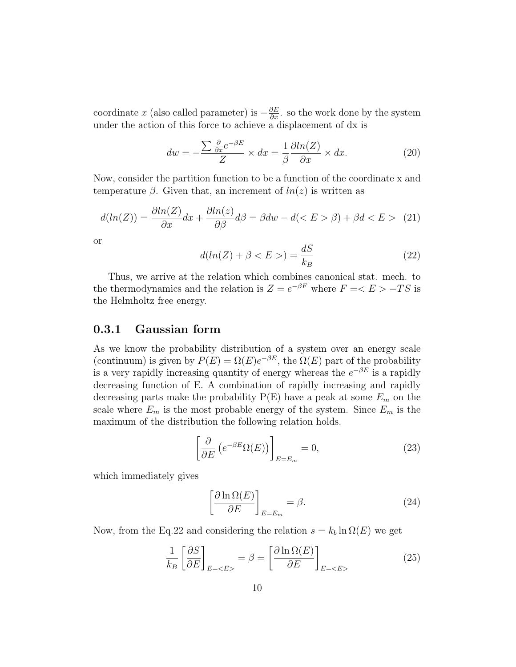coordinate x (also called parameter) is  $-\frac{\partial E}{\partial x}$ . so the work done by the system under the action of this force to achieve a displacement of dx is

$$
dw = -\frac{\sum \frac{\partial}{\partial x} e^{-\beta E}}{Z} \times dx = \frac{1}{\beta} \frac{\partial \ln(Z)}{\partial x} \times dx.
$$
 (20)

Now, consider the partition function to be a function of the coordinate x and temperature  $\beta$ . Given that, an increment of  $ln(z)$  is written as

$$
d(ln(Z)) = \frac{\partial ln(Z)}{\partial x} dx + \frac{\partial ln(z)}{\partial \beta} d\beta = \beta dw - d( \beta) + \beta d < E > (21)
$$

or

$$
d(ln(Z) + \beta < E > ) = \frac{dS}{k_B} \tag{22}
$$

Thus, we arrive at the relation which combines canonical stat. mech. to the thermodynamics and the relation is  $Z = e^{-\beta F}$  where  $F = E > -TS$  is the Helmholtz free energy.

### 0.3.1 Gaussian form

As we know the probability distribution of a system over an energy scale (continuum) is given by  $P(E) = \Omega(E)e^{-\beta E}$ , the  $\Omega(E)$  part of the probability is a very rapidly increasing quantity of energy whereas the  $e^{-\beta E}$  is a rapidly decreasing function of E. A combination of rapidly increasing and rapidly decreasing parts make the probability  $P(E)$  have a peak at some  $E_m$  on the scale where  $E_m$  is the most probable energy of the system. Since  $E_m$  is the maximum of the distribution the following relation holds.

$$
\left[\frac{\partial}{\partial E} \left( e^{-\beta E} \Omega(E) \right) \right]_{E=E_m} = 0, \tag{23}
$$

which immediately gives

$$
\left[\frac{\partial \ln \Omega(E)}{\partial E}\right]_{E=E_m} = \beta. \tag{24}
$$

Now, from the Eq.22 and considering the relation  $s = k_b \ln \Omega(E)$  we get

$$
\frac{1}{k_B} \left[ \frac{\partial S}{\partial E} \right]_{E=} = \beta = \left[ \frac{\partial \ln \Omega(E)}{\partial E} \right]_{E=} \tag{25}
$$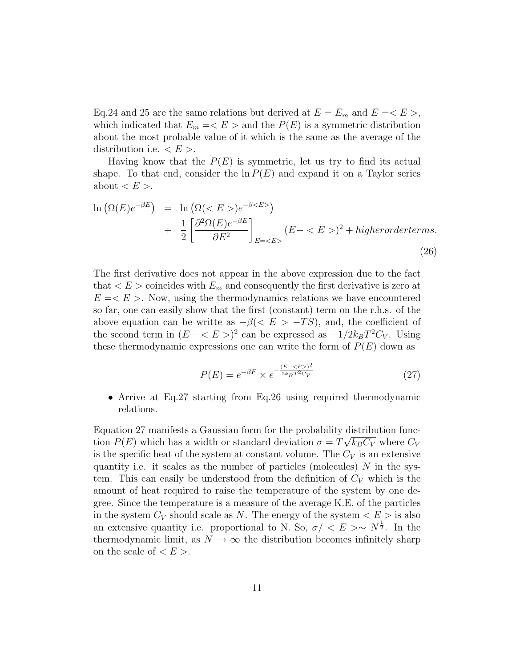Eq.24 and 25 are the same relations but derived at  $E = E_m$  and  $E = \langle E \rangle$ , which indicated that  $E_m = \langle E \rangle$  and the  $P(E)$  is a symmetric distribution about the most probable value of it which is the same as the average of the distribution i.e.  $\lt E$  >.

Having know that the  $P(E)$  is symmetric, let us try to find its actual shape. To that end, consider the  $\ln P(E)$  and expand it on a Taylor series about  $\langle E \rangle$ .

$$
\ln\left(\Omega(E)e^{-\beta E}\right) = \ln\left(\Omega()e^{-\beta E}\right) \n+ \frac{1}{2}\left[\frac{\partial^2 \Omega(E)e^{-\beta E}}{\partial E^2}\right]_{E=} (E-)^2 + higher order terms.
$$
\n(26)

The first derivative does not appear in the above expression due to the fact that  $\langle E \rangle$  coincides with  $E_m$  and consequently the first derivative is zero at  $E = \langle E \rangle$ . Now, using the thermodynamics relations we have encountered so far, one can easily show that the first (constant) term on the r.h.s. of the above equation can be writte as  $-\beta \ll E > -TS$ , and, the coefficient of the second term in  $(E - \langle E \rangle)^2$  can be expressed as  $-1/2k_BT^2C_V$ . Using these thermodynamic expressions one can write the form of  $P(E)$  down as

$$
P(E) = e^{-\beta F} \times e^{-\frac{(E - \langle E \rangle)^2}{2k_B T^2 C_V}}
$$
\n(27)

• Arrive at Eq.27 starting from Eq.26 using required thermodynamic relations.

Equation 27 manifests a Gaussian form for the probability distribution function  $P(E)$  which has a width or standard deviation  $\sigma = T\sqrt{k_B C_V}$  where  $C_V$ is the specific heat of the system at constant volume. The  $C_V$  is an extensive quantity i.e. it scales as the number of particles (molecules)  $N$  in the system. This can easily be understood from the definition of  $C_V$  which is the amount of heat required to raise the temperature of the system by one degree. Since the temperature is a measure of the average K.E. of the particles in the system  $C_V$  should scale as N. The energy of the system  $\langle E \rangle$  is also an extensive quantity i.e. proportional to N. So,  $\sigma / \langle E \rangle \sim N^{\frac{1}{2}}$ . In the thermodynamic limit, as  $N \to \infty$  the distribution becomes infinitely sharp on the scale of  $\langle E \rangle$ .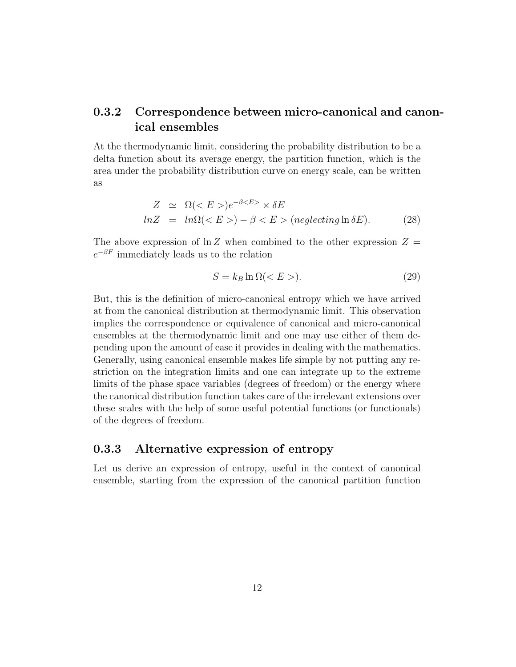### 0.3.2 Correspondence between micro-canonical and canonical ensembles

At the thermodynamic limit, considering the probability distribution to be a delta function about its average energy, the partition function, which is the area under the probability distribution curve on energy scale, can be written as

$$
Z \simeq \Omega()e^{-\beta} \times \delta E
$$
  

$$
lnZ = ln\Omega() - \beta < E> (neglecting \ln \delta E).
$$
 (28)

The above expression of  $\ln Z$  when combined to the other expression  $Z =$  $e^{-\beta F}$  immediately leads us to the relation

$$
S = k_B \ln \Omega < E > \tag{29}
$$

But, this is the definition of micro-canonical entropy which we have arrived at from the canonical distribution at thermodynamic limit. This observation implies the correspondence or equivalence of canonical and micro-canonical ensembles at the thermodynamic limit and one may use either of them depending upon the amount of ease it provides in dealing with the mathematics. Generally, using canonical ensemble makes life simple by not putting any restriction on the integration limits and one can integrate up to the extreme limits of the phase space variables (degrees of freedom) or the energy where the canonical distribution function takes care of the irrelevant extensions over these scales with the help of some useful potential functions (or functionals) of the degrees of freedom.

#### 0.3.3 Alternative expression of entropy

Let us derive an expression of entropy, useful in the context of canonical ensemble, starting from the expression of the canonical partition function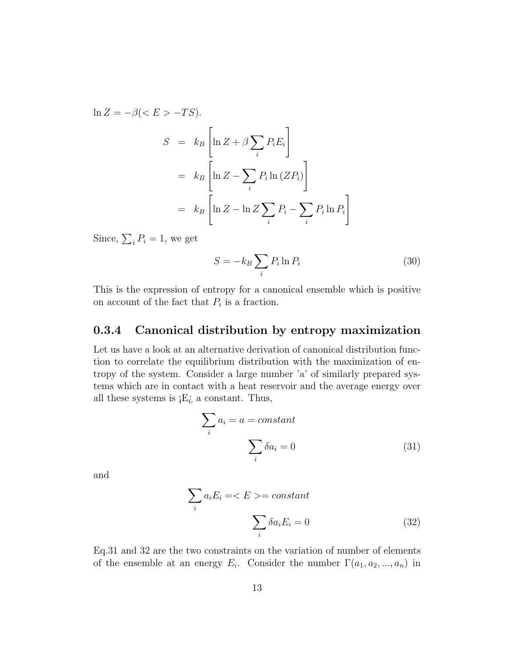$$
\ln Z = -\beta \left( \langle E \rangle - TS \right).
$$
  
\n
$$
S = k_B \left[ \ln Z + \beta \sum_{i} P_i E_i \right]
$$
  
\n
$$
= k_B \left[ \ln Z - \sum_{i} P_i \ln \left( Z P_i \right) \right]
$$
  
\n
$$
= k_B \left[ \ln Z - \ln Z \sum_{i} P_i - \sum_{i} P_i \ln P_i \right]
$$

Since,  $\sum_i P_i = 1$ , we get

$$
S = -k_B \sum_i P_i \ln P_i \tag{30}
$$

This is the expression of entropy for a canonical ensemble which is positive on account of the fact that  $P_i$  is a fraction.

## 0.3.4 Canonical distribution by entropy maximization

Let us have a look at an alternative derivation of canonical distribution function to correlate the equilibrium distribution with the maximization of entropy of the system. Consider a large number 'a' of similarly prepared systems which are in contact with a heat reservoir and the average energy over all these systems is  $E_{\lambda}$  a constant. Thus,

$$
\sum_{i} a_i = a = constant
$$

$$
\sum_{i} \delta a_i = 0
$$
(31)

and

$$
\sum_{i} a_{i} E_{i} = \langle E \rangle = constant
$$
\n
$$
\sum_{i} \delta a_{i} E_{i} = 0
$$
\n(32)

Eq.31 and 32 are the two constraints on the variation of number of elements of the ensemble at an energy  $E_i$ . Consider the number  $\Gamma(a_1, a_2, ..., a_n)$  in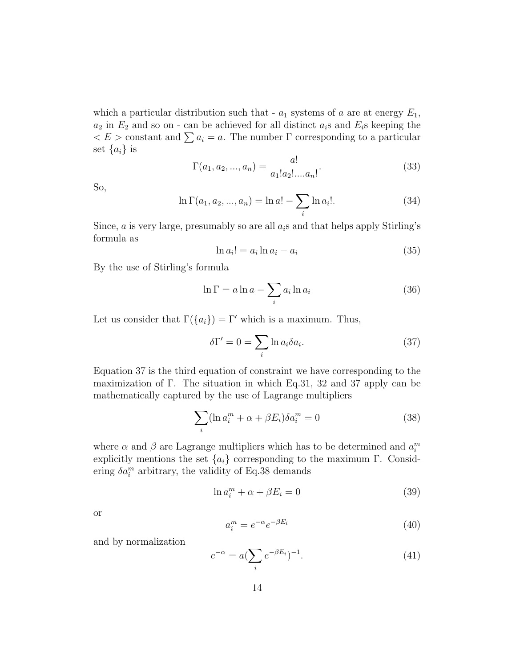which a particular distribution such that -  $a_1$  systems of a are at energy  $E_1$ ,  $a_2$  in  $E_2$  and so on - can be achieved for all distinct  $a_i$ s and  $E_i$ s keeping the  $\langle E \rangle$  constant and  $\sum a_i = a$ . The number  $\Gamma$  corresponding to a particular set  $\{a_i\}$  is

$$
\Gamma(a_1, a_2, ..., a_n) = \frac{a!}{a_1! a_2! ... a_n!}.
$$
\n(33)

So,

$$
\ln \Gamma(a_1, a_2, ..., a_n) = \ln a! - \sum_i \ln a_i!.
$$
 (34)

Since,  $\alpha$  is very large, presumably so are all  $a_i$ s and that helps apply Stirling's formula as

$$
\ln a_i! = a_i \ln a_i - a_i \tag{35}
$$

By the use of Stirling's formula

$$
\ln \Gamma = a \ln a - \sum_{i} a_i \ln a_i \tag{36}
$$

Let us consider that  $\Gamma({a_i}) = \Gamma'$  which is a maximum. Thus,

$$
\delta \Gamma' = 0 = \sum_{i} \ln a_{i} \delta a_{i}.
$$
 (37)

Equation 37 is the third equation of constraint we have corresponding to the maximization of Γ. The situation in which Eq.31, 32 and 37 apply can be mathematically captured by the use of Lagrange multipliers

$$
\sum_{i} (\ln a_i^m + \alpha + \beta E_i) \delta a_i^m = 0 \tag{38}
$$

where  $\alpha$  and  $\beta$  are Lagrange multipliers which has to be determined and  $a_i^m$ explicitly mentions the set  ${a_i}$  corresponding to the maximum Γ. Considering  $\delta a_i^m$  arbitrary, the validity of Eq.38 demands

$$
\ln a_i^m + \alpha + \beta E_i = 0 \tag{39}
$$

or

$$
a_i^m = e^{-\alpha} e^{-\beta E_i} \tag{40}
$$

and by normalization

$$
e^{-\alpha} = a(\sum_{i} e^{-\beta E_i})^{-1}.
$$
 (41)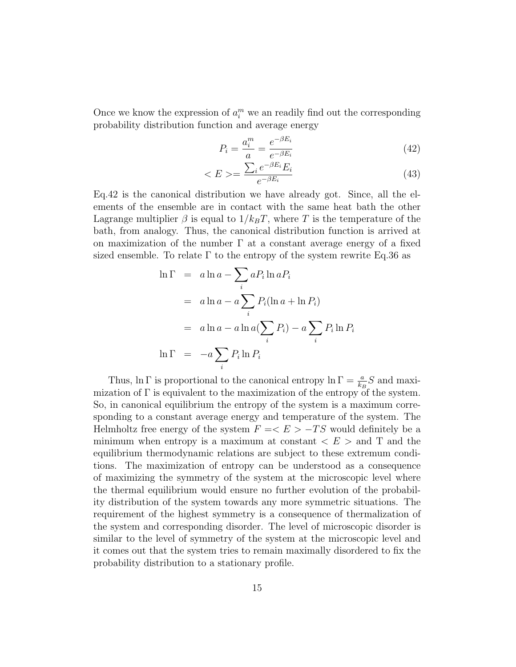Once we know the expression of  $a_i^m$  we an readily find out the corresponding probability distribution function and average energy

$$
P_i = \frac{a_i^m}{a} = \frac{e^{-\beta E_i}}{e^{-\beta E_i}}\tag{42}
$$

$$
\langle E \rangle = \frac{\sum_{i} e^{-\beta E_i} E_i}{e^{-\beta E_i}} \tag{43}
$$

Eq.42 is the canonical distribution we have already got. Since, all the elements of the ensemble are in contact with the same heat bath the other Lagrange multiplier  $\beta$  is equal to  $1/k_BT$ , where T is the temperature of the bath, from analogy. Thus, the canonical distribution function is arrived at on maximization of the number  $\Gamma$  at a constant average energy of a fixed sized ensemble. To relate  $\Gamma$  to the entropy of the system rewrite Eq.36 as

$$
\ln \Gamma = a \ln a - \sum_{i} a_i \ln a_i
$$
  
=  $a \ln a - a \sum_{i} P_i (\ln a + \ln a_i)$   
=  $a \ln a - a \ln a (\sum_{i} P_i) - a \sum_{i} P_i \ln P_i$   

$$
\ln \Gamma = -a \sum_{i} P_i \ln P_i
$$

Thus,  $\ln \Gamma$  is proportional to the canonical entropy  $\ln \Gamma = \frac{a}{k_B} S$  and maximization of  $\Gamma$  is equivalent to the maximization of the entropy of the system. So, in canonical equilibrium the entropy of the system is a maximum corresponding to a constant average energy and temperature of the system. The Helmholtz free energy of the system  $F = \langle E \rangle - TS$  would definitely be a minimum when entropy is a maximum at constant  $\langle E \rangle$  and T and the equilibrium thermodynamic relations are subject to these extremum conditions. The maximization of entropy can be understood as a consequence of maximizing the symmetry of the system at the microscopic level where the thermal equilibrium would ensure no further evolution of the probability distribution of the system towards any more symmetric situations. The requirement of the highest symmetry is a consequence of thermalization of the system and corresponding disorder. The level of microscopic disorder is similar to the level of symmetry of the system at the microscopic level and it comes out that the system tries to remain maximally disordered to fix the probability distribution to a stationary profile.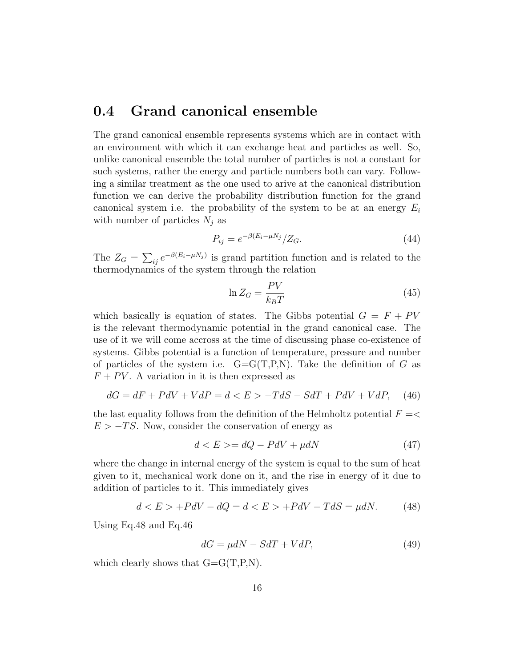# 0.4 Grand canonical ensemble

The grand canonical ensemble represents systems which are in contact with an environment with which it can exchange heat and particles as well. So, unlike canonical ensemble the total number of particles is not a constant for such systems, rather the energy and particle numbers both can vary. Following a similar treatment as the one used to arive at the canonical distribution function we can derive the probability distribution function for the grand canonical system i.e. the probability of the system to be at an energy  $E_i$ with number of particles  $N_j$  as

$$
P_{ij} = e^{-\beta (E_i - \mu N_j)} / Z_G.
$$
\n
$$
(44)
$$

The  $Z_G = \sum_{ij} e^{-\beta (E_i - \mu N_j)}$  is grand partition function and is related to the thermodynamics of the system through the relation

$$
\ln Z_G = \frac{PV}{k_B T} \tag{45}
$$

which basically is equation of states. The Gibbs potential  $G = F + PV$ is the relevant thermodynamic potential in the grand canonical case. The use of it we will come accross at the time of discussing phase co-existence of systems. Gibbs potential is a function of temperature, pressure and number of particles of the system i.e.  $G = G(T, P, N)$ . Take the definition of G as  $F + PV$ . A variation in it is then expressed as

$$
dG = dF + PdV + VdP = d < E > -TdS - SdT + PdV + VdP, \quad (46)
$$

the last equality follows from the definition of the Helmholtz potential  $F =$  $E > -TS$ . Now, consider the conservation of energy as

$$
d < E > = dQ - PdV + \mu dN \tag{47}
$$

where the change in internal energy of the system is equal to the sum of heat given to it, mechanical work done on it, and the rise in energy of it due to addition of particles to it. This immediately gives

$$
d < E > +PdV - dQ = d < E > +PdV - TdS = \mu dN. \tag{48}
$$

Using Eq.48 and Eq.46

$$
dG = \mu dN - SdT + VdP, \tag{49}
$$

which clearly shows that  $G = G(T, P, N)$ .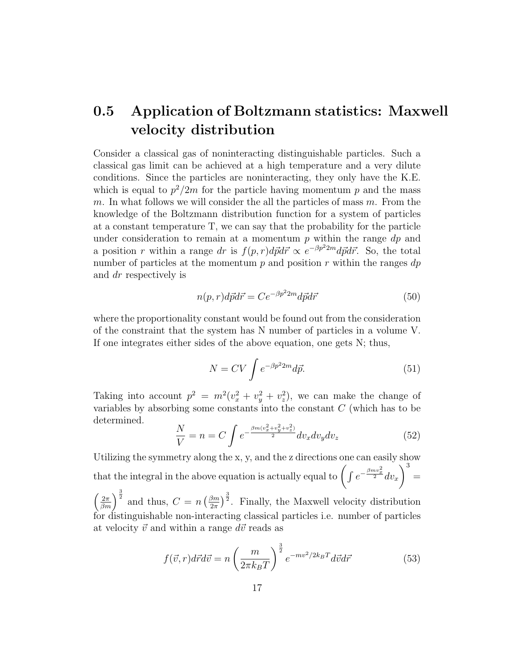# 0.5 Application of Boltzmann statistics: Maxwell velocity distribution

Consider a classical gas of noninteracting distinguishable particles. Such a classical gas limit can be achieved at a high temperature and a very dilute conditions. Since the particles are noninteracting, they only have the K.E. which is equal to  $p^2/2m$  for the particle having momentum p and the mass m. In what follows we will consider the all the particles of mass  $m$ . From the knowledge of the Boltzmann distribution function for a system of particles at a constant temperature T, we can say that the probability for the particle under consideration to remain at a momentum  $p$  within the range  $dp$  and a position r within a range dr is  $f(p,r)d\vec{p}d\vec{r} \propto e^{-\beta p^2 2m} d\vec{p}d\vec{r}$ . So, the total number of particles at the momentum  $p$  and position  $r$  within the ranges  $dp$ and dr respectively is

$$
n(p,r)d\vec{p}d\vec{r} = Ce^{-\beta p^2 2m} d\vec{p}d\vec{r}
$$
\n<sup>(50)</sup>

where the proportionality constant would be found out from the consideration of the constraint that the system has N number of particles in a volume V. If one integrates either sides of the above equation, one gets N; thus,

$$
N = CV \int e^{-\beta p^2 2m} d\vec{p}.
$$
 (51)

Taking into account  $p^2 = m^2(v_x^2 + v_y^2 + v_z^2)$ , we can make the change of variables by absorbing some constants into the constant C (which has to be determined.

$$
\frac{N}{V} = n = C \int e^{-\frac{\beta m (v_x^2 + v_y^2 + v_z^2)}{2}} dv_x dv_y dv_z \tag{52}
$$

Utilizing the symmetry along the x, y, and the z directions one can easily show that the integral in the above equation is actually equal to  $\int \int e^{-\frac{\beta m v_x^2}{2}} dv_x$  $\setminus^3$ =

 $\left(\frac{2\pi}{\beta m}\right)^{\frac{3}{2}}$  and thus,  $C = n \left(\frac{\beta m}{2\pi}\right)$  $\left(\frac{3m}{2\pi}\right)^{\frac{3}{2}}$ . Finally, the Maxwell velocity distribution for distinguishable non-interacting classical particles i.e. number of particles at velocity  $\vec{v}$  and within a range  $d\vec{v}$  reads as

$$
f(\vec{v},r)d\vec{r}d\vec{v} = n\left(\frac{m}{2\pi k_BT}\right)^{\frac{3}{2}}e^{-mv^2/2k_BT}d\vec{v}d\vec{r}
$$
\n(53)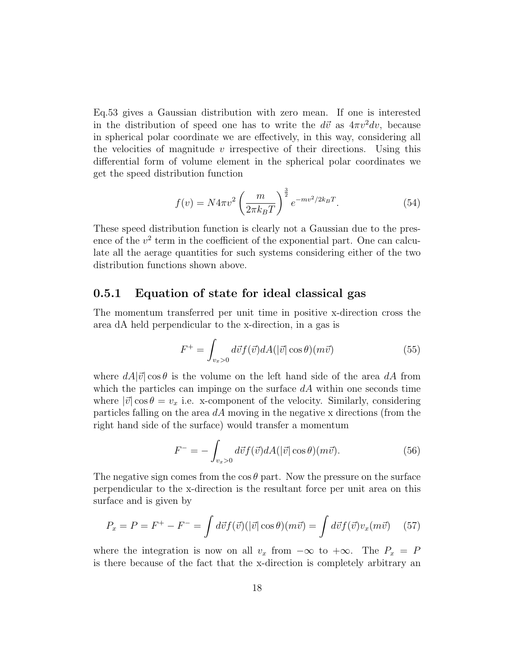Eq.53 gives a Gaussian distribution with zero mean. If one is interested in the distribution of speed one has to write the  $d\vec{v}$  as  $4\pi v^2 dv$ , because in spherical polar coordinate we are effectively, in this way, considering all the velocities of magnitude v irrespective of their directions. Using this differential form of volume element in the spherical polar coordinates we get the speed distribution function

$$
f(v) = N4\pi v^2 \left(\frac{m}{2\pi k_B T}\right)^{\frac{3}{2}} e^{-mv^2/2k_B T}.
$$
 (54)

These speed distribution function is clearly not a Gaussian due to the presence of the  $v^2$  term in the coefficient of the exponential part. One can calculate all the aerage quantities for such systems considering either of the two distribution functions shown above.

### 0.5.1 Equation of state for ideal classical gas

The momentum transferred per unit time in positive x-direction cross the area dA held perpendicular to the x-direction, in a gas is

$$
F^{+} = \int_{v_x > 0} d\vec{v} f(\vec{v}) dA(|\vec{v}| \cos \theta) (m\vec{v})
$$
\n(55)

where  $dA|\vec{v}| \cos \theta$  is the volume on the left hand side of the area dA from which the particles can impinge on the surface  $dA$  within one seconds time where  $|\vec{v}| \cos \theta = v_x$  i.e. x-component of the velocity. Similarly, considering particles falling on the area  $dA$  moving in the negative x directions (from the right hand side of the surface) would transfer a momentum

$$
F^{-} = -\int_{v_x>0} d\vec{v} f(\vec{v}) dA(|\vec{v}| \cos \theta)(m\vec{v}). \tag{56}
$$

The negative sign comes from the cos  $\theta$  part. Now the pressure on the surface perpendicular to the x-direction is the resultant force per unit area on this surface and is given by

$$
P_x = P = F^+ - F^- = \int d\vec{v} f(\vec{v}) (|\vec{v}| \cos \theta)(m\vec{v}) = \int d\vec{v} f(\vec{v}) v_x(m\vec{v}) \quad (57)
$$

where the integration is now on all  $v_x$  from  $-\infty$  to  $+\infty$ . The  $P_x = P$ is there because of the fact that the x-direction is completely arbitrary an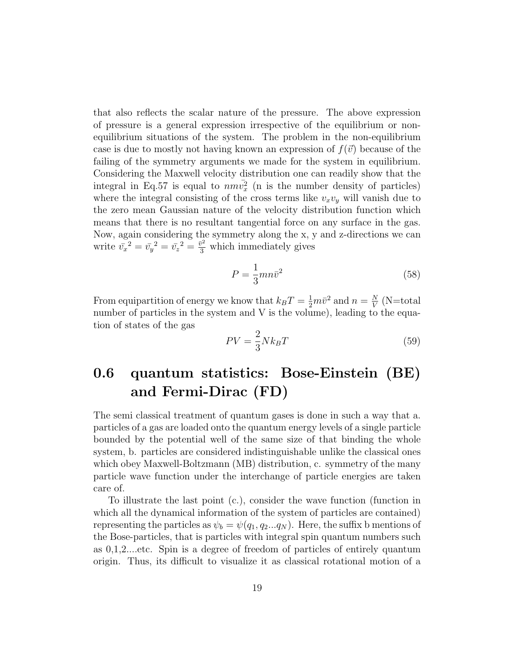that also reflects the scalar nature of the pressure. The above expression of pressure is a general expression irrespective of the equilibrium or nonequilibrium situations of the system. The problem in the non-equilibrium case is due to mostly not having known an expression of  $f(\vec{v})$  because of the failing of the symmetry arguments we made for the system in equilibrium. Considering the Maxwell velocity distribution one can readily show that the integral in Eq.57 is equal to  $nm\bar{v}_x^2$  (n is the number density of particles) where the integral consisting of the cross terms like  $v_xv_y$  will vanish due to the zero mean Gaussian nature of the velocity distribution function which means that there is no resultant tangential force on any surface in the gas. Now, again considering the symmetry along the x, y and z-directions we can write  $\bar{v_x}^2 = \bar{v_y}^2 = \bar{v_z}^2 = \frac{\bar{v}^2}{3}$  which immediately gives

$$
P = \frac{1}{3}mn\bar{v}^2\tag{58}
$$

From equipartition of energy we know that  $k_B T = \frac{1}{2} m \bar{v}^2$  and  $n = \frac{N}{V}$  $\frac{N}{V}$  (N=total number of particles in the system and V is the volume), leading to the equation of states of the gas

$$
PV = \frac{2}{3} N k_B T \tag{59}
$$

# 0.6 quantum statistics: Bose-Einstein (BE) and Fermi-Dirac (FD)

The semi classical treatment of quantum gases is done in such a way that a. particles of a gas are loaded onto the quantum energy levels of a single particle bounded by the potential well of the same size of that binding the whole system, b. particles are considered indistinguishable unlike the classical ones which obey Maxwell-Boltzmann (MB) distribution, c. symmetry of the many particle wave function under the interchange of particle energies are taken care of.

To illustrate the last point (c.), consider the wave function (function in which all the dynamical information of the system of particles are contained) representing the particles as  $\psi_b = \psi(q_1, q_2...q_N)$ . Here, the suffix b mentions of the Bose-particles, that is particles with integral spin quantum numbers such as 0,1,2....etc. Spin is a degree of freedom of particles of entirely quantum origin. Thus, its difficult to visualize it as classical rotational motion of a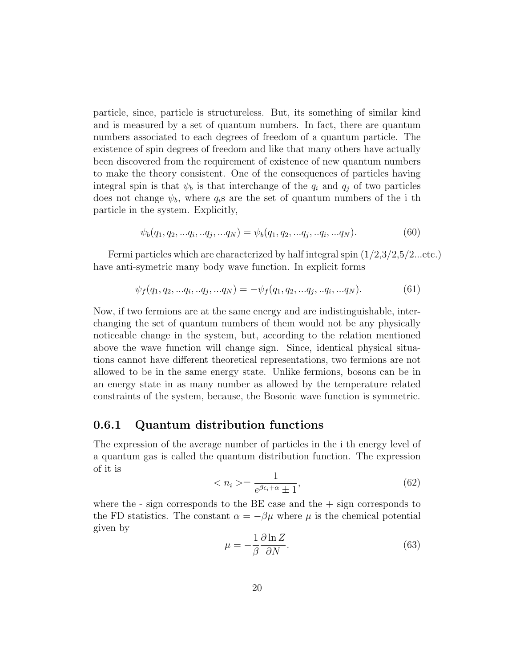particle, since, particle is structureless. But, its something of similar kind and is measured by a set of quantum numbers. In fact, there are quantum numbers associated to each degrees of freedom of a quantum particle. The existence of spin degrees of freedom and like that many others have actually been discovered from the requirement of existence of new quantum numbers to make the theory consistent. One of the consequences of particles having integral spin is that  $\psi_b$  is that interchange of the  $q_i$  and  $q_j$  of two particles does not change  $\psi_b$ , where  $q_i$ s are the set of quantum numbers of the i th particle in the system. Explicitly,

$$
\psi_b(q_1, q_2, \ldots q_i, \ldots q_j, \ldots q_N) = \psi_b(q_1, q_2, \ldots q_j, \ldots q_i, \ldots q_N). \tag{60}
$$

Fermi particles which are characterized by half integral spin  $(1/2,3/2,5/2$ ...etc.) have anti-symetric many body wave function. In explicit forms

$$
\psi_f(q_1, q_2, \ldots q_i, \ldots q_j, \ldots q_N) = -\psi_f(q_1, q_2, \ldots q_j, \ldots q_i, \ldots q_N). \tag{61}
$$

Now, if two fermions are at the same energy and are indistinguishable, interchanging the set of quantum numbers of them would not be any physically noticeable change in the system, but, according to the relation mentioned above the wave function will change sign. Since, identical physical situations cannot have different theoretical representations, two fermions are not allowed to be in the same energy state. Unlike fermions, bosons can be in an energy state in as many number as allowed by the temperature related constraints of the system, because, the Bosonic wave function is symmetric.

#### 0.6.1 Quantum distribution functions

The expression of the average number of particles in the i th energy level of a quantum gas is called the quantum distribution function. The expression of it is

$$
\langle n_i \rangle = \frac{1}{e^{\beta \epsilon_i + \alpha} \pm 1},\tag{62}
$$

where the  $-$  sign corresponds to the BE case and the  $+$  sign corresponds to the FD statistics. The constant  $\alpha = -\beta\mu$  where  $\mu$  is the chemical potential given by

$$
\mu = -\frac{1}{\beta} \frac{\partial \ln Z}{\partial N}.
$$
\n(63)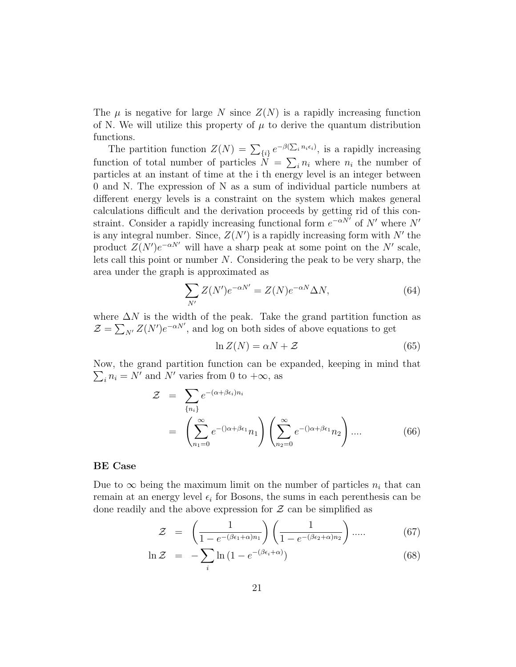The  $\mu$  is negative for large N since  $Z(N)$  is a rapidly increasing function of N. We will utilize this property of  $\mu$  to derive the quantum distribution functions.

The partition function  $Z(N) = \sum_{\{i\}} e^{-\beta(\sum_i n_i \epsilon_i)}$ , is a rapidly increasing function of total number of particles  $N = \sum_i n_i$  where  $n_i$  the number of particles at an instant of time at the i th energy level is an integer between 0 and N. The expression of N as a sum of individual particle numbers at different energy levels is a constraint on the system which makes general calculations difficult and the derivation proceeds by getting rid of this constraint. Consider a rapidly increasing functional form  $e^{-\alpha N}$  of N' where N' is any integral number. Since,  $Z(N')$  is a rapidly increasing form with N' the product  $Z(N')e^{-\alpha N'}$  will have a sharp peak at some point on the N' scale, lets call this point or number  $N$ . Considering the peak to be very sharp, the area under the graph is approximated as

$$
\sum_{N'} Z(N')e^{-\alpha N'} = Z(N)e^{-\alpha N}\Delta N,\tag{64}
$$

where  $\Delta N$  is the width of the peak. Take the grand partition function as  $\mathcal{Z} = \sum_{N'} Z(N')e^{-\alpha N'}$ , and log on both sides of above equations to get

$$
\ln Z(N) = \alpha N + \mathcal{Z} \tag{65}
$$

Now, the grand partition function can be expanded, keeping in mind that  $\sum_i n_i = N'$  and N' varies from 0 to  $+\infty$ , as

$$
\mathcal{Z} = \sum_{\{n_i\}} e^{-(\alpha + \beta \epsilon_i) n_i}
$$

$$
= \left( \sum_{n_1=0}^{\infty} e^{-(\alpha + \beta \epsilon_1} n_1 \right) \left( \sum_{n_2=0}^{\infty} e^{-(\alpha + \beta \epsilon_1} n_2 \right) \dots \tag{66}
$$

#### BE Case

Due to  $\infty$  being the maximum limit on the number of particles  $n_i$  that can remain at an energy level  $\epsilon_i$  for Bosons, the sums in each perenthesis can be done readily and the above expression for  $\mathcal Z$  can be simplified as

$$
\mathcal{Z} = \left(\frac{1}{1 - e^{-(\beta \epsilon_1 + \alpha)n_1}}\right) \left(\frac{1}{1 - e^{-(\beta \epsilon_2 + \alpha)n_2}}\right) \dots \tag{67}
$$

$$
\ln \mathcal{Z} = -\sum_{i} \ln \left( 1 - e^{-(\beta \epsilon_i + \alpha)} \right) \tag{68}
$$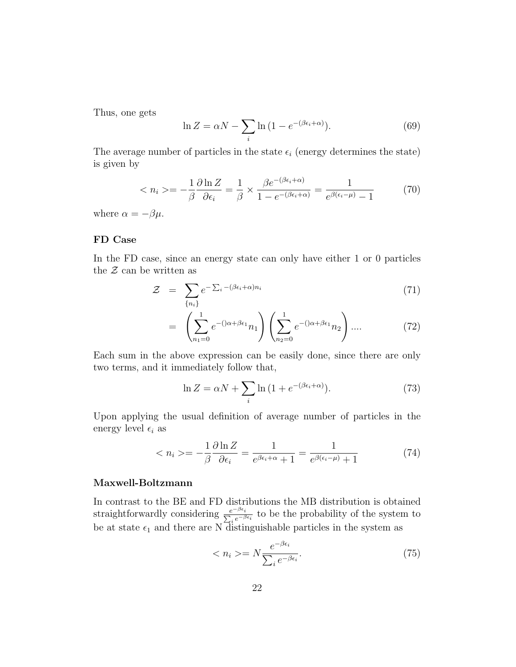Thus, one gets

$$
\ln Z = \alpha N - \sum_{i} \ln \left( 1 - e^{-(\beta \epsilon_i + \alpha)} \right).
$$
 (69)

The average number of particles in the state  $\epsilon_i$  (energy determines the state) is given by

$$
\langle n_i \rangle = -\frac{1}{\beta} \frac{\partial \ln Z}{\partial \epsilon_i} = \frac{1}{\beta} \times \frac{\beta e^{-(\beta \epsilon_i + \alpha)}}{1 - e^{-(\beta \epsilon_i + \alpha)}} = \frac{1}{e^{\beta(\epsilon_i - \mu)} - 1} \tag{70}
$$

where  $\alpha = -\beta \mu$ .

#### FD Case

In the FD case, since an energy state can only have either 1 or 0 particles the  $Z$  can be written as

$$
\mathcal{Z} = \sum_{\{n_i\}} e^{-\sum_i -(\beta \epsilon_i + \alpha) n_i} \tag{71}
$$

$$
= \left(\sum_{n_1=0}^{1} e^{-(\alpha + \beta \epsilon_1} n_1\right) \left(\sum_{n_2=0}^{1} e^{-(\alpha + \beta \epsilon_1} n_2\right) \dots \tag{72}
$$

Each sum in the above expression can be easily done, since there are only two terms, and it immediately follow that,

$$
\ln Z = \alpha N + \sum_{i} \ln \left( 1 + e^{-(\beta \epsilon_i + \alpha)} \right).
$$
 (73)

Upon applying the usual definition of average number of particles in the energy level  $\epsilon_i$  as

$$
\langle n_i \rangle = -\frac{1}{\beta} \frac{\partial \ln Z}{\partial \epsilon_i} = \frac{1}{e^{\beta \epsilon_i + \alpha} + 1} = \frac{1}{e^{\beta (\epsilon_i - \mu)} + 1} \tag{74}
$$

#### Maxwell-Boltzmann

In contrast to the BE and FD distributions the MB distribution is obtained straightforwardly considering  $\frac{e^{-\beta\epsilon_i}}{\sum_i e^{-\beta\epsilon_i}}$  to be the probability of the system to be at state  $\epsilon_1$  and there are N distinguishable particles in the system as

$$
\langle n_i \rangle = N \frac{e^{-\beta \epsilon_i}}{\sum_i e^{-\beta \epsilon_i}}.\tag{75}
$$